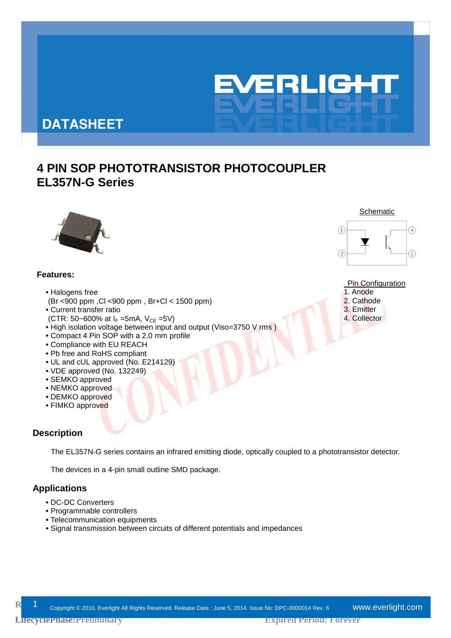

# **DATASHEET**

# **4 PIN SOP PHOTOTRANSISTOR PHOTOCOUPLER EL357N-G Series**



### **Features:**

- **•**Halogens free
- (Br <900 ppm ,Cl <900 ppm , Br+Cl < 1500 ppm)
- **•**Current transfer ratio
- (CTR: 50~600% at  $I_F$  =5mA,  $V_{CE}$  =5V)
- **•**High isolation voltage between input and output (Viso=3750 V rms )
- **•**Compact 4 Pin SOP with a 2.0 mm profile
- **•**Compliance with EU REACH
- **•**Pb free and RoHS compliant
- **•**UL and cUL approved (No. E214129)
- **•**VDE approved (No. 132249)
- SEMKO approved
- NEMKO approved
- DEMKO approved
- **•**FIMKO approved

### **Description**

The EL357N-G series contains an infrared emitting diode, optically coupled to a phototransistor detector.

The devices in a 4-pin small outline SMD package.

### **Applications**

- **•**DC-DC Converters
- Programmable controllers
- Telecommunication equipments
- Signal transmission between circuits of different potentials and impedances





### Pin Configuration

- 1. Anode
- 2. Cathode
- 3. Emitter
- 4. Collector

**LifecyclePhase:Preliminary LifecyclePhase:**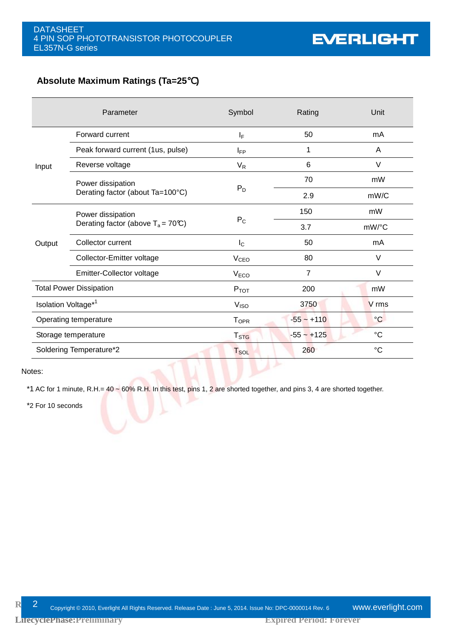### **Absolute Maximum Ratings (Ta=25**℃**)**

|        | Parameter                                    | Symbol                  | Rating         | Unit            |
|--------|----------------------------------------------|-------------------------|----------------|-----------------|
|        | Forward current                              | ΙF                      | 50             | mA              |
|        | Peak forward current (1us, pulse)            | $I_{FP}$                | 1              | A               |
| Input  | Reverse voltage                              | $V_R$                   | 6              | V               |
|        | Power dissipation                            |                         | 70             | mW              |
|        | Derating factor (about Ta=100°C)             | $P_D$                   | 2.9            | mW/C            |
|        | Power dissipation                            |                         | 150            | mW              |
|        | Derating factor (above $T_a = 70^{\circ}C$ ) | $P_{C}$                 | 3.7            | mW/°C           |
| Output | Collector current                            | $I_{\rm C}$             | 50             | mA              |
|        | Collector-Emitter voltage                    | <b>V<sub>CEO</sub></b>  | 80             | V               |
|        | Emitter-Collector voltage                    | V <sub>ECO</sub>        | $\overline{7}$ | V               |
|        | <b>Total Power Dissipation</b>               | $P_{TOT}$               | 200            | mW              |
|        | Isolation Voltage*1                          | V <sub>ISO</sub>        | 3750           | V rms           |
|        | Operating temperature                        | <b>T</b> <sub>OPR</sub> | $-55 - +110$   | $\mathrm{C}$    |
|        | Storage temperature                          | T <sub>STG</sub>        | $-55 - +125$   | $\rm ^{\circ}C$ |
|        | Soldering Temperature*2                      | <b>T</b> soL            | 260            | $\rm ^{\circ}C$ |

Notes:

\*1 AC for 1 minute, R.H.=  $40 \sim 60\%$  R.H. In this test, pins 1, 2 are shorted together, and pins 3, 4 are shorted together.

\*2 For 10 seconds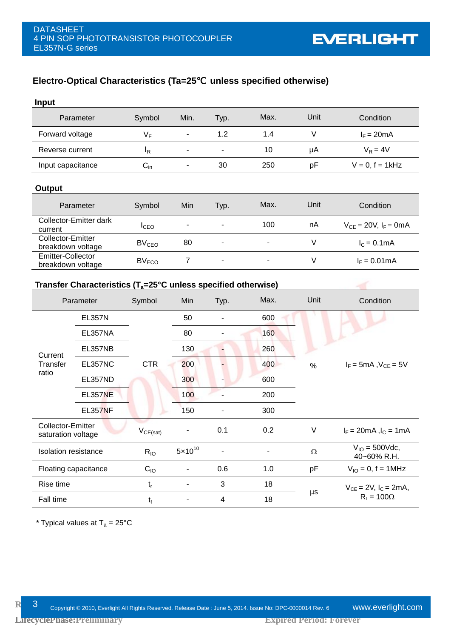# **Electro-Optical Characteristics (Ta=25**℃ **unless specified otherwise)**

**EVERLIGHT** 

| <b>Input</b>                                  |                                                                           |                         |                              |                          |      |          |                                            |  |
|-----------------------------------------------|---------------------------------------------------------------------------|-------------------------|------------------------------|--------------------------|------|----------|--------------------------------------------|--|
|                                               | Parameter                                                                 | Symbol                  | Min.                         | Typ.                     | Max. | Unit     | Condition                                  |  |
| Forward voltage                               |                                                                           | $V_F$                   | $\blacksquare$               | 1.2                      | 1.4  | $\vee$   | $I_F = 20mA$                               |  |
| Reverse current                               |                                                                           | $I_R$                   | $\qquad \qquad \blacksquare$ | $\blacksquare$           | 10   | μA       | $V_R = 4V$                                 |  |
| Input capacitance                             |                                                                           | $C_{\text{in}}$         | ٠                            | 30                       | 250  | pF       | $V = 0$ , $f = 1$ kHz                      |  |
| Output                                        |                                                                           |                         |                              |                          |      |          |                                            |  |
|                                               | Parameter                                                                 | Symbol                  | Min                          | Typ.                     | Max. | Unit     | Condition                                  |  |
| current                                       | Collector-Emitter dark                                                    | $I_{\text{CEO}}$        |                              |                          | 100  | nA       | $V_{CE} = 20V$ , $I_F = 0mA$               |  |
| Collector-Emitter<br>breakdown voltage        |                                                                           | <b>BV<sub>CEO</sub></b> | 80                           |                          |      | $\vee$   | $IC = 0.1mA$                               |  |
| <b>Emitter-Collector</b><br>breakdown voltage |                                                                           | $BV_{ECO}$              | $\overline{7}$               |                          |      | $\vee$   | $I_{E} = 0.01 \text{mA}$                   |  |
|                                               | Transfer Characteristics ( $T_a = 25^\circ$ C unless specified otherwise) |                         |                              |                          |      |          |                                            |  |
|                                               | Parameter                                                                 | Symbol                  | Min                          | Typ.                     | Max. | Unit     | Condition                                  |  |
|                                               | <b>EL357N</b>                                                             |                         | 50                           | $\overline{\phantom{a}}$ | 600  |          |                                            |  |
|                                               | EL357NA                                                                   |                         | 80                           |                          | 160  |          |                                            |  |
|                                               | EL357NB                                                                   |                         | 130                          |                          | 260  |          |                                            |  |
| Current<br>Transfer                           | <b>EL357NC</b>                                                            | <b>CTR</b>              | 200                          |                          | 400  | $\%$     | $I_F$ = 5mA, $V_{CE}$ = 5V                 |  |
| ratio                                         | EL357ND                                                                   |                         | 300                          |                          | 600  |          |                                            |  |
|                                               | <b>EL357NE</b>                                                            |                         | 100                          |                          | 200  |          |                                            |  |
|                                               | <b>EL357NF</b>                                                            |                         | 150                          | $\blacksquare$           | 300  |          |                                            |  |
| Collector-Emitter<br>saturation voltage       |                                                                           | $V_{CE(sat)}$           |                              | 0.1                      | 0.2  | $\vee$   | $I_F = 20 \text{mA}$ , $I_C = 1 \text{mA}$ |  |
| Isolation resistance                          |                                                                           | $R_{IO}$                | $5 \times 10^{10}$           |                          |      | $\Omega$ | $V_{10} = 500$ Vdc,<br>40~60% R.H.         |  |
| Floating capacitance                          |                                                                           | $C_{IO}$                | $\overline{\phantom{0}}$     | 0.6                      | 1.0  | pF       | $V_{10} = 0, f = 1 MHz$                    |  |
| Rise time                                     |                                                                           | $\mathfrak{t}_{\rm r}$  |                              | $\mathbf{3}$             | 18   | $\mu s$  | $V_{CE} = 2V$ , $I_C = 2mA$ ,              |  |
| Fall time                                     |                                                                           |                         |                              |                          |      |          |                                            |  |

\* Typical values at  $T_a = 25^{\circ}C$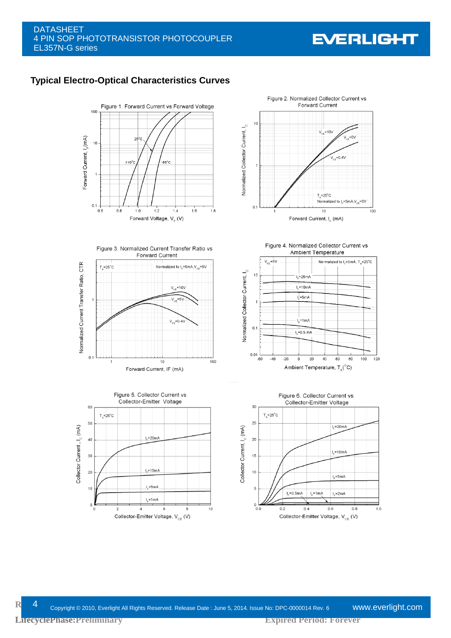### DATASHEET 4 PIN SOP PHOTOTRANSISTOR PHOTOCOUPLER EL357N-G series

# **EVERLIGHT**

## **Typical Electro-Optical Characteristics Curves**









Figure 4. Normalized Collector Current vs Ambient Temperature  $V_{\text{ce}} = 5V$ Normalized to  $I_r = 5mA$ ,  $T_A = 25^{\circ}C$ Normalized Collector Current, I  $10$  $I_r = 25mA$  $I<sub>e</sub>=10mA$  $\sqrt{5m}$  $L = 1 mA$  $\mathbf{0}$  $I_c = 0.5$  mA  $0.01$  $-60$  $-40$  $-20$  $\mathfrak o$ 20  $40\,$ 60 80 100 120 Ambient Temperature,  $T_A(^{\circ}C)$ 



**R** 4 Copyright © 2010, Everlight All Rights Reserved. Release Date : June 5, 2014. Issue No: DPC-0000014 Rev. 6 **WWW.eVerlight.com**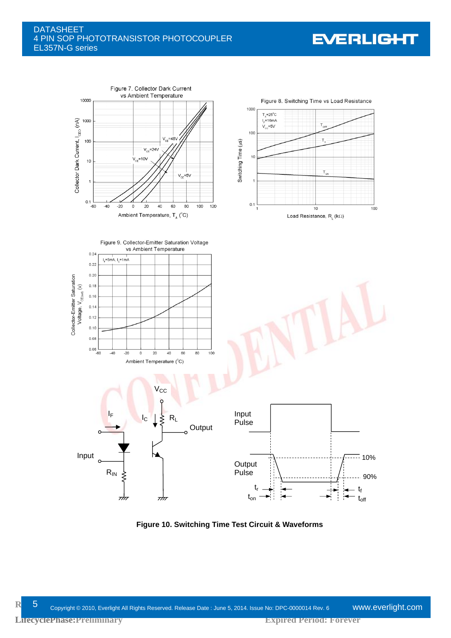### **DATASHEET** 4 PIN SOP PHOTOTRANSISTOR PHOTOCOUPLER EL357N-G series

# **EVERLIGHT**



**Figure 10. Switching Time Test Circuit & Waveforms**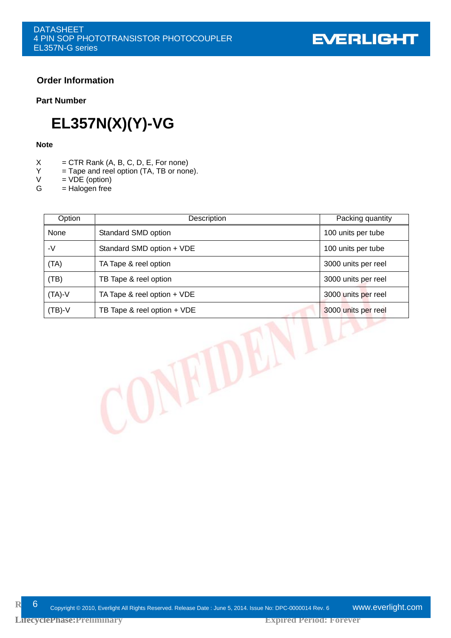### **Order Information**

### **Part Number**

# **EL357N(X)(Y)-VG**

### **Note**

- $X = CTR$  Rank  $(A, B, C, D, E, For none)$ <br> $Y = T$ and reel option  $(TA, TB)$  or non
- $Y =$ Tape and reel option (TA, TB or none).<br>V = VDE (option)
- $V = VDE$  (option)<br>  $G = Haloaen$  free
- $=$  Halogen free

**LifecyclePhase:Preliminary LifecyclePhase:**

| Option   | Description                     | Packing quantity    |
|----------|---------------------------------|---------------------|
| None     | Standard SMD option             | 100 units per tube  |
| -V       | Standard SMD option + VDE       | 100 units per tube  |
| (TA)     | TA Tape & reel option           | 3000 units per reel |
| (TB)     | TB Tape & reel option           | 3000 units per reel |
| $(TA)-V$ | TA Tape $&$ reel option $+$ VDE | 3000 units per reel |
| $(TB)-V$ | TB Tape $&$ reel option $+$ VDE | 3000 units per reel |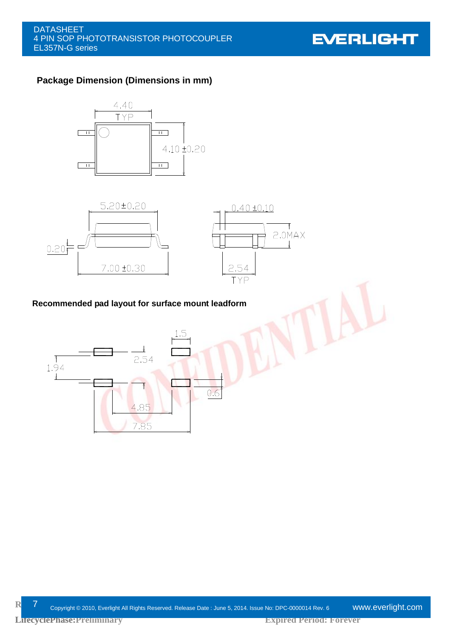**EVERLIGHT** 

# **Package Dimension (Dimensions in mm)**





### **Recommended pad layout for surface mount leadform**

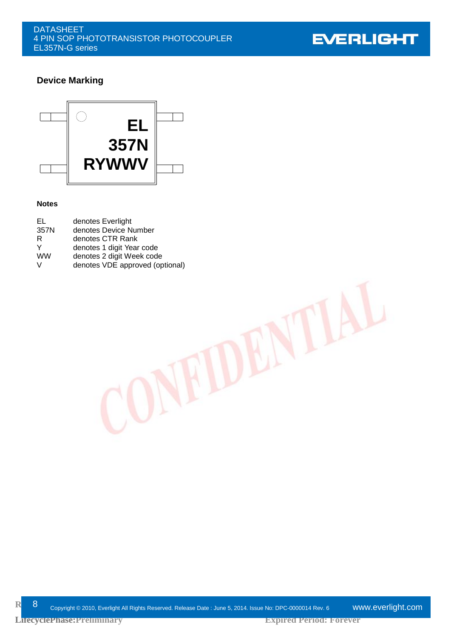

# **Device Marking**



### **Notes**

| EL.       | denotes Everlight               |
|-----------|---------------------------------|
| 357N      | denotes Device Number           |
| R         | denotes CTR Rank                |
| Y         | denotes 1 digit Year code       |
| <b>WW</b> | denotes 2 digit Week code       |
| V         | denotes VDE approved (optional) |

**R**elease Oppyright © 2010, Everlight All Rights Reserved. Release Date : June 5, 2014. Issue No: DPC-0000014 Rev. 6 www.**everlight.com**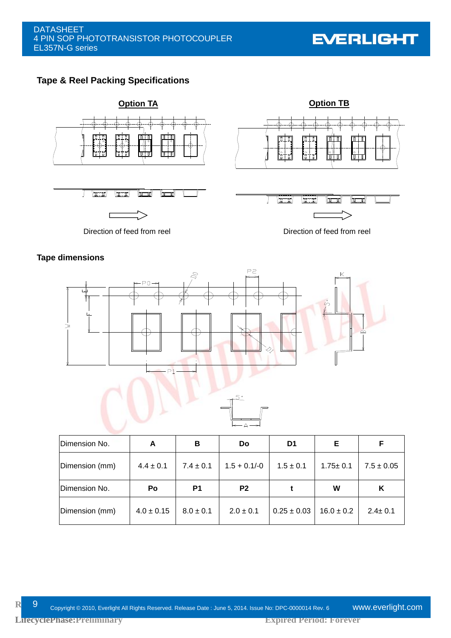**EVERLIGHT** 

# **Tape & Reel Packing Specifications**



### **Tape dimensions**





| Dimension No.  | A             | в             | Do             | D1            | Е              |                |
|----------------|---------------|---------------|----------------|---------------|----------------|----------------|
| Dimension (mm) | $4.4 \pm 0.1$ | $7.4 \pm 0.1$ | $1.5 + 0.1/-0$ | $1.5 \pm 0.1$ | $1.75 \pm 0.1$ | $7.5 \pm 0.05$ |
|                |               |               |                |               |                |                |
| Dimension No.  | Po            | P1            | P <sub>2</sub> |               | W              | ĸ              |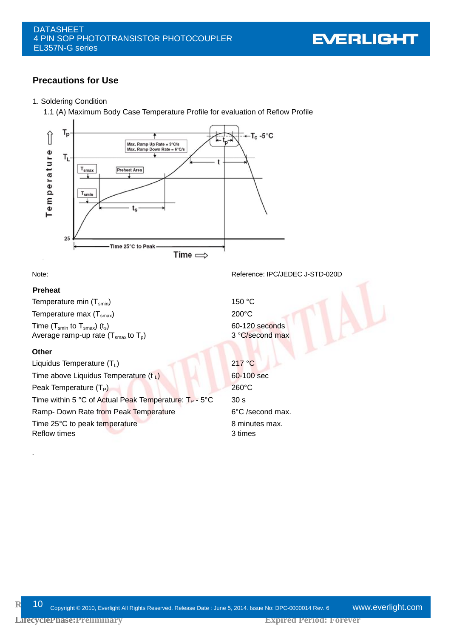

### **Precautions for Use**

#### 1. Soldering Condition

1.1 (A) Maximum Body Case Temperature Profile for evaluation of Reflow Profile



### **Preheat**

Temperature min  $(T_{smin})$  150 °C Temperature max  $(T<sub>smax</sub>)$  200°C Time ( $T_{smin}$  to  $T_{smax}$ ) (t<sub>s</sub>) (t<sub>s</sub>) 60-120 seconds<br>Average ramp-up rate ( $T_{smax}$  to  $T_p$ ) 60-120 second max Average ramp-up rate  $(T<sub>smax</sub>$  to  $T<sub>p</sub>)$ 

### **Other**

.

Liquidus Temperature  $(T_1)$  217 °C Time above Liquidus Temperature  $(t_1)$  60-100 sec Peak Temperature (T<sub>P</sub>) 260°C Time within 5 °C of Actual Peak Temperature:  $T_P - 5$ °C 30 s Ramp- Down Rate from Peak Temperature 6°C /second max. Time 25°C to peak temperature 8 minutes max. Reflow times 3 times

Note: Note: Reference: IPC/JEDEC J-STD-020D

**R** 10 <sub>Copyright © 2010, Everlight All Rights Reserved. Release Date : June 5, 2014. Issue No: DPC-0000014 Rev. 6 **WWW.eVerlight.com**</sub>

**LifecyclePhase:Preliminary LifecyclePhase:**